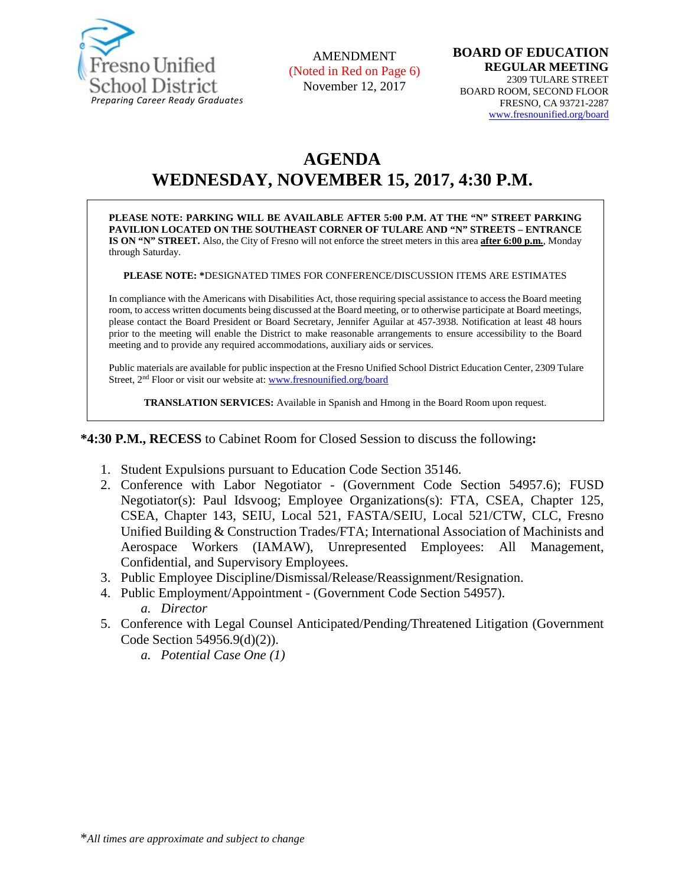

AMENDMENT (Noted in Red on Page 6) November 12, 2017

# **AGENDA WEDNESDAY, NOVEMBER 15, 2017, 4:30 P.M.**

**PLEASE NOTE: PARKING WILL BE AVAILABLE AFTER 5:00 P.M. AT THE "N" STREET PARKING PAVILION LOCATED ON THE SOUTHEAST CORNER OF TULARE AND "N" STREETS – ENTRANCE IS ON "N" STREET.** Also, the City of Fresno will not enforce the street meters in this area **after 6:00 p.m.**, Monday through Saturday.

**PLEASE NOTE: \***DESIGNATED TIMES FOR CONFERENCE/DISCUSSION ITEMS ARE ESTIMATES

In compliance with the Americans with Disabilities Act, those requiring special assistance to access the Board meeting room, to access written documents being discussed at the Board meeting, or to otherwise participate at Board meetings, please contact the Board President or Board Secretary, Jennifer Aguilar at 457-3938. Notification at least 48 hours prior to the meeting will enable the District to make reasonable arrangements to ensure accessibility to the Board meeting and to provide any required accommodations, auxiliary aids or services.

Public materials are available for public inspection at the Fresno Unified School District Education Center, 2309 Tulare Street, 2<sup>nd</sup> Floor or visit our website at: [www.fresnounified.org/board](http://www.fresnounified.org/board)

**TRANSLATION SERVICES:** Available in Spanish and Hmong in the Board Room upon request.

**\*4:30 P.M., RECESS** to Cabinet Room for Closed Session to discuss the following**:**

- 1. Student Expulsions pursuant to Education Code Section 35146.
- 2. Conference with Labor Negotiator (Government Code Section 54957.6); FUSD Negotiator(s): Paul Idsvoog; Employee Organizations(s): FTA, CSEA, Chapter 125, CSEA, Chapter 143, SEIU, Local 521, FASTA/SEIU, Local 521/CTW, CLC, Fresno Unified Building & Construction Trades/FTA; International Association of Machinists and Aerospace Workers (IAMAW), Unrepresented Employees: All Management, Confidential, and Supervisory Employees.
- 3. Public Employee Discipline/Dismissal/Release/Reassignment/Resignation.
- 4. Public Employment/Appointment (Government Code Section 54957).
	- *a. Director*
- 5. Conference with Legal Counsel Anticipated/Pending/Threatened Litigation (Government Code Section 54956.9(d)(2)).
	- *a. Potential Case One (1)*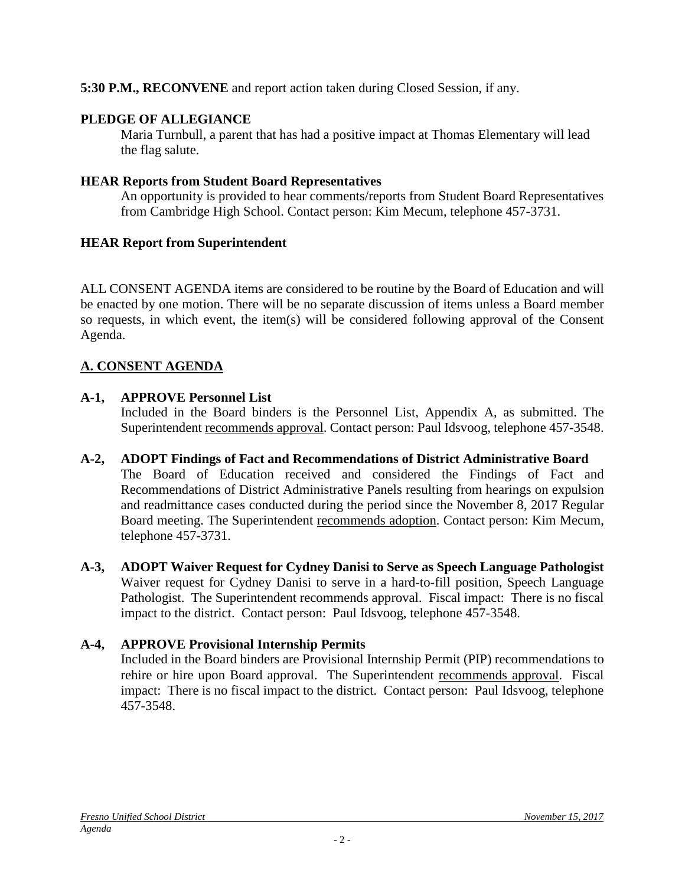**5:30 P.M., RECONVENE** and report action taken during Closed Session, if any.

## **PLEDGE OF ALLEGIANCE**

Maria Turnbull, a parent that has had a positive impact at Thomas Elementary will lead the flag salute.

## **HEAR Reports from Student Board Representatives**

An opportunity is provided to hear comments/reports from Student Board Representatives from Cambridge High School. Contact person: Kim Mecum, telephone 457-3731.

## **HEAR Report from Superintendent**

ALL CONSENT AGENDA items are considered to be routine by the Board of Education and will be enacted by one motion. There will be no separate discussion of items unless a Board member so requests, in which event, the item(s) will be considered following approval of the Consent Agenda.

## **A. CONSENT AGENDA**

## **A-1, APPROVE Personnel List**

Included in the Board binders is the Personnel List, Appendix A, as submitted. The Superintendent recommends approval. Contact person: Paul Idsvoog, telephone 457-3548.

#### **A-2, ADOPT Findings of Fact and Recommendations of District Administrative Board** The Board of Education received and considered the Findings of Fact and Recommendations of District Administrative Panels resulting from hearings on expulsion and readmittance cases conducted during the period since the November 8, 2017 Regular Board meeting. The Superintendent recommends adoption. Contact person: Kim Mecum, telephone 457-3731.

**A-3, ADOPT Waiver Request for Cydney Danisi to Serve as Speech Language Pathologist** Waiver request for Cydney Danisi to serve in a hard-to-fill position, Speech Language Pathologist. The Superintendent recommends approval. Fiscal impact: There is no fiscal impact to the district. Contact person: Paul Idsvoog, telephone 457-3548.

## **A-4, APPROVE Provisional Internship Permits**

Included in the Board binders are Provisional Internship Permit (PIP) recommendations to rehire or hire upon Board approval. The Superintendent recommends approval. Fiscal impact: There is no fiscal impact to the district. Contact person: Paul Idsvoog, telephone 457-3548.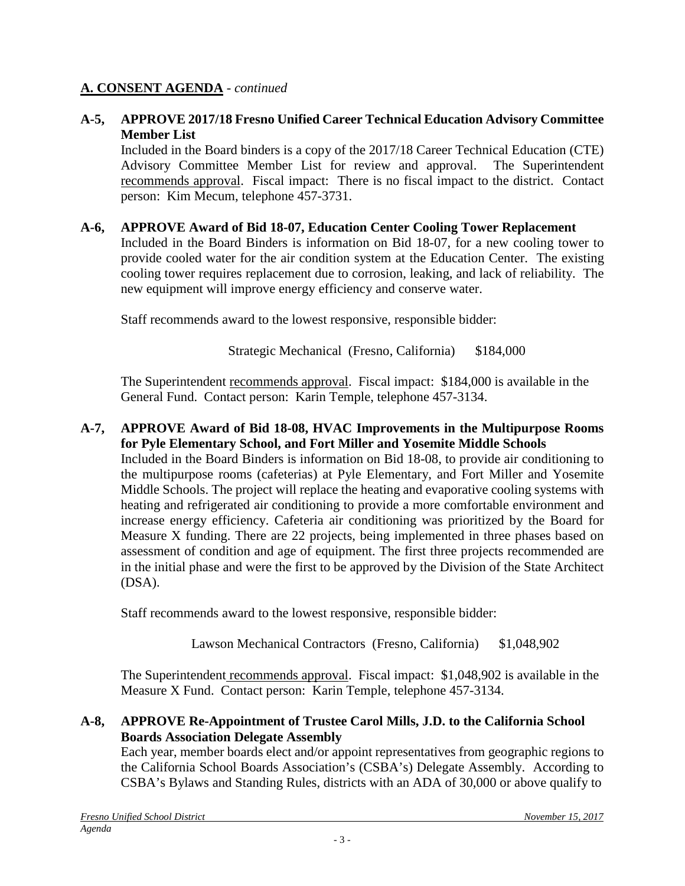### **A. CONSENT AGENDA** - *continued*

#### **A-5, APPROVE 2017/18 Fresno Unified Career Technical Education Advisory Committee Member List**

Included in the Board binders is a copy of the 2017/18 Career Technical Education (CTE) Advisory Committee Member List for review and approval. The Superintendent recommends approval. Fiscal impact: There is no fiscal impact to the district. Contact person: Kim Mecum, telephone 457-3731.

#### **A-6, APPROVE Award of Bid 18-07, Education Center Cooling Tower Replacement**

Included in the Board Binders is information on Bid 18-07, for a new cooling tower to provide cooled water for the air condition system at the Education Center. The existing cooling tower requires replacement due to corrosion, leaking, and lack of reliability. The new equipment will improve energy efficiency and conserve water.

Staff recommends award to the lowest responsive, responsible bidder:

Strategic Mechanical (Fresno, California) \$184,000

The Superintendent recommends approval. Fiscal impact: \$184,000 is available in the General Fund. Contact person: Karin Temple, telephone 457-3134.

#### **A-7, APPROVE Award of Bid 18-08, HVAC Improvements in the Multipurpose Rooms for Pyle Elementary School, and Fort Miller and Yosemite Middle Schools**

Included in the Board Binders is information on Bid 18-08, to provide air conditioning to the multipurpose rooms (cafeterias) at Pyle Elementary, and Fort Miller and Yosemite Middle Schools. The project will replace the heating and evaporative cooling systems with heating and refrigerated air conditioning to provide a more comfortable environment and increase energy efficiency. Cafeteria air conditioning was prioritized by the Board for Measure X funding. There are 22 projects, being implemented in three phases based on assessment of condition and age of equipment. The first three projects recommended are in the initial phase and were the first to be approved by the Division of the State Architect (DSA).

Staff recommends award to the lowest responsive, responsible bidder:

Lawson Mechanical Contractors (Fresno, California) \$1,048,902

The Superintendent recommends approval. Fiscal impact: \$1,048,902 is available in the Measure X Fund. Contact person: Karin Temple, telephone 457-3134.

### **A-8, APPROVE Re-Appointment of Trustee Carol Mills, J.D. to the California School Boards Association Delegate Assembly**

Each year, member boards elect and/or appoint representatives from geographic regions to the California School Boards Association's (CSBA's) Delegate Assembly. According to CSBA's Bylaws and Standing Rules, districts with an ADA of 30,000 or above qualify to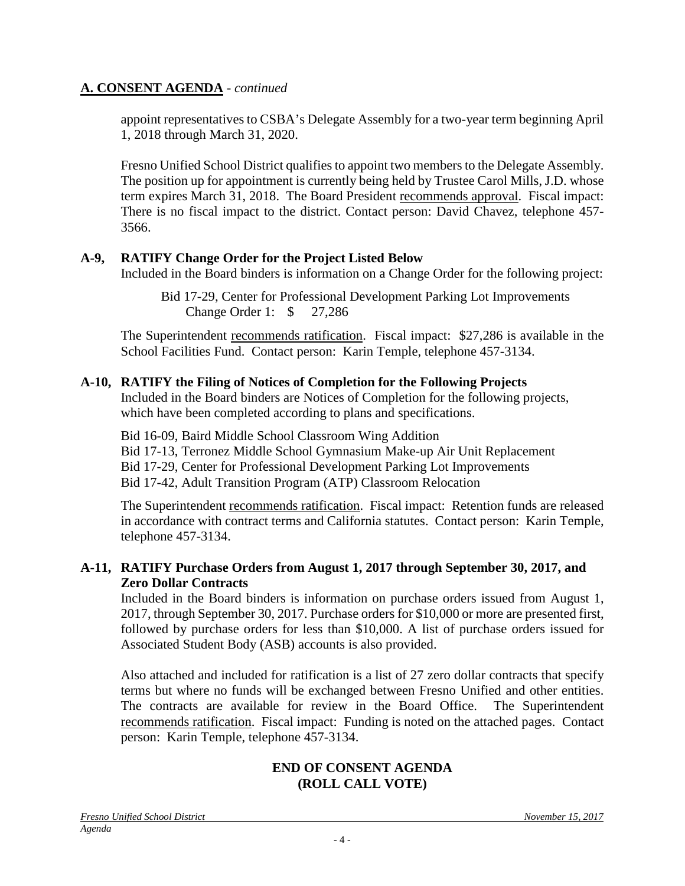#### **A. CONSENT AGENDA** - *continued*

appoint representatives to CSBA's Delegate Assembly for a two-year term beginning April 1, 2018 through March 31, 2020.

Fresno Unified School District qualifies to appoint two members to the Delegate Assembly. The position up for appointment is currently being held by Trustee Carol Mills, J.D. whose term expires March 31, 2018. The Board President recommends approval. Fiscal impact: There is no fiscal impact to the district. Contact person: David Chavez, telephone 457- 3566.

#### **A-9, RATIFY Change Order for the Project Listed Below**

Included in the Board binders is information on a Change Order for the following project:

Bid 17-29, Center for Professional Development Parking Lot Improvements Change Order 1: \$ 27,286

The Superintendent recommends ratification. Fiscal impact: \$27,286 is available in the School Facilities Fund. Contact person: Karin Temple, telephone 457-3134.

### **A-10, RATIFY the Filing of Notices of Completion for the Following Projects**

Included in the Board binders are Notices of Completion for the following projects, which have been completed according to plans and specifications.

Bid 16-09, Baird Middle School Classroom Wing Addition Bid 17-13, Terronez Middle School Gymnasium Make-up Air Unit Replacement Bid 17-29, Center for Professional Development Parking Lot Improvements Bid 17-42, Adult Transition Program (ATP) Classroom Relocation

The Superintendent recommends ratification. Fiscal impact: Retention funds are released in accordance with contract terms and California statutes. Contact person: Karin Temple, telephone 457-3134.

#### **A-11, RATIFY Purchase Orders from August 1, 2017 through September 30, 2017, and Zero Dollar Contracts**

Included in the Board binders is information on purchase orders issued from August 1, 2017, through September 30, 2017. Purchase orders for \$10,000 or more are presented first, followed by purchase orders for less than \$10,000. A list of purchase orders issued for Associated Student Body (ASB) accounts is also provided.

Also attached and included for ratification is a list of 27 zero dollar contracts that specify terms but where no funds will be exchanged between Fresno Unified and other entities. The contracts are available for review in the Board Office. The Superintendent recommends ratification. Fiscal impact: Funding is noted on the attached pages. Contact person: Karin Temple, telephone 457-3134.

#### **END OF CONSENT AGENDA (ROLL CALL VOTE)**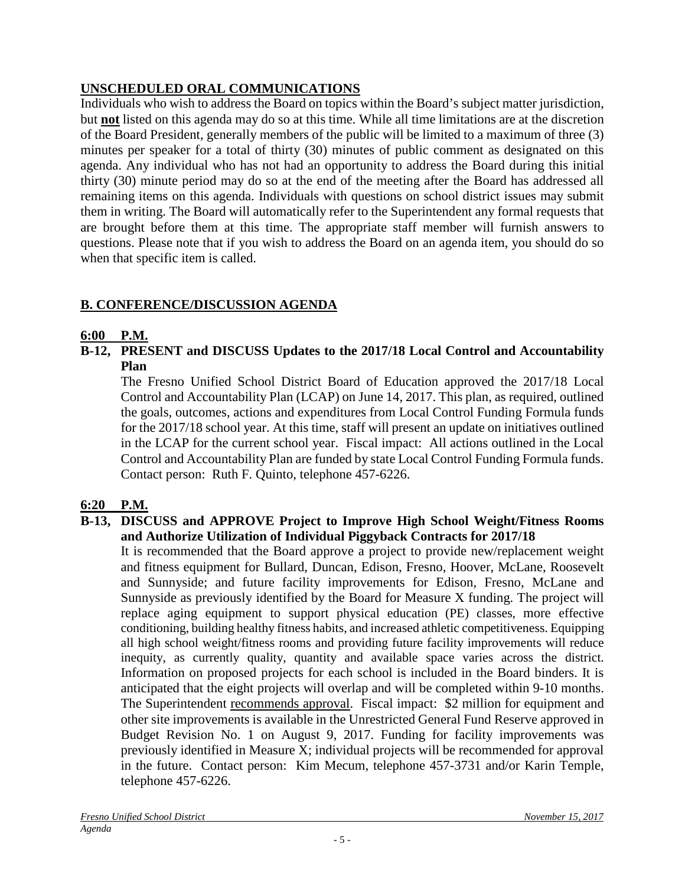## **UNSCHEDULED ORAL COMMUNICATIONS**

Individuals who wish to address the Board on topics within the Board's subject matter jurisdiction, but **not** listed on this agenda may do so at this time. While all time limitations are at the discretion of the Board President, generally members of the public will be limited to a maximum of three (3) minutes per speaker for a total of thirty (30) minutes of public comment as designated on this agenda. Any individual who has not had an opportunity to address the Board during this initial thirty (30) minute period may do so at the end of the meeting after the Board has addressed all remaining items on this agenda. Individuals with questions on school district issues may submit them in writing. The Board will automatically refer to the Superintendent any formal requests that are brought before them at this time. The appropriate staff member will furnish answers to questions. Please note that if you wish to address the Board on an agenda item, you should do so when that specific item is called.

## **B. CONFERENCE/DISCUSSION AGENDA**

## **6:00 P.M.**

**B-12, PRESENT and DISCUSS Updates to the 2017/18 Local Control and Accountability Plan**

The Fresno Unified School District Board of Education approved the 2017/18 Local Control and Accountability Plan (LCAP) on June 14, 2017. This plan, as required, outlined the goals, outcomes, actions and expenditures from Local Control Funding Formula funds for the 2017/18 school year. At this time, staff will present an update on initiatives outlined in the LCAP for the current school year. Fiscal impact: All actions outlined in the Local Control and Accountability Plan are funded by state Local Control Funding Formula funds. Contact person: Ruth F. Quinto, telephone 457-6226.

## **6:20 P.M.**

### **B-13, DISCUSS and APPROVE Project to Improve High School Weight/Fitness Rooms and Authorize Utilization of Individual Piggyback Contracts for 2017/18**

It is recommended that the Board approve a project to provide new/replacement weight and fitness equipment for Bullard, Duncan, Edison, Fresno, Hoover, McLane, Roosevelt and Sunnyside; and future facility improvements for Edison, Fresno, McLane and Sunnyside as previously identified by the Board for Measure X funding. The project will replace aging equipment to support physical education (PE) classes, more effective conditioning, building healthy fitness habits, and increased athletic competitiveness. Equipping all high school weight/fitness rooms and providing future facility improvements will reduce inequity, as currently quality, quantity and available space varies across the district. Information on proposed projects for each school is included in the Board binders. It is anticipated that the eight projects will overlap and will be completed within 9-10 months. The Superintendent recommends approval. Fiscal impact: \$2 million for equipment and other site improvements is available in the Unrestricted General Fund Reserve approved in Budget Revision No. 1 on August 9, 2017. Funding for facility improvements was previously identified in Measure X; individual projects will be recommended for approval in the future. Contact person: Kim Mecum, telephone 457-3731 and/or Karin Temple, telephone 457-6226.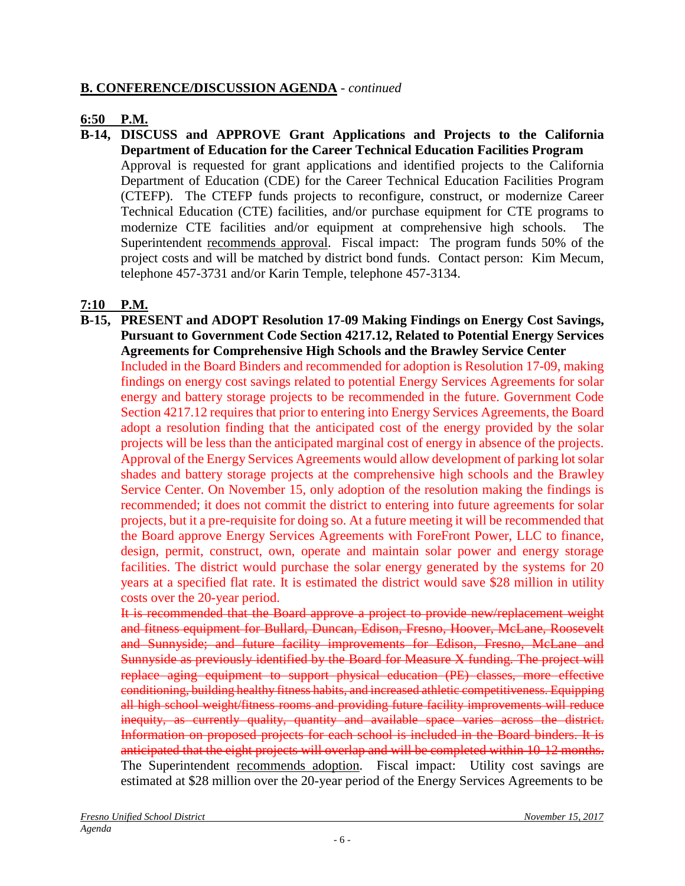#### **B. CONFERENCE/DISCUSSION AGENDA** - *continued*

#### **6:50 P.M.**

**B-14, DISCUSS and APPROVE Grant Applications and Projects to the California Department of Education for the Career Technical Education Facilities Program** Approval is requested for grant applications and identified projects to the California Department of Education (CDE) for the Career Technical Education Facilities Program (CTEFP). The CTEFP funds projects to reconfigure, construct, or modernize Career

Technical Education (CTE) facilities, and/or purchase equipment for CTE programs to modernize CTE facilities and/or equipment at comprehensive high schools. Superintendent recommends approval. Fiscal impact: The program funds 50% of the project costs and will be matched by district bond funds. Contact person: Kim Mecum, telephone 457-3731 and/or Karin Temple, telephone 457-3134.

## **7:10 P.M.**

**B-15, PRESENT and ADOPT Resolution 17-09 Making Findings on Energy Cost Savings, Pursuant to Government Code Section 4217.12, Related to Potential Energy Services Agreements for Comprehensive High Schools and the Brawley Service Center** Included in the Board Binders and recommended for adoption is Resolution 17-09, making findings on energy cost savings related to potential Energy Services Agreements for solar energy and battery storage projects to be recommended in the future. Government Code Section 4217.12 requires that prior to entering into Energy Services Agreements, the Board adopt a resolution finding that the anticipated cost of the energy provided by the solar projects will be less than the anticipated marginal cost of energy in absence of the projects. Approval of the Energy Services Agreements would allow development of parking lot solar shades and battery storage projects at the comprehensive high schools and the Brawley Service Center. On November 15, only adoption of the resolution making the findings is recommended; it does not commit the district to entering into future agreements for solar projects, but it a pre-requisite for doing so. At a future meeting it will be recommended that the Board approve Energy Services Agreements with ForeFront Power, LLC to finance, design, permit, construct, own, operate and maintain solar power and energy storage facilities. The district would purchase the solar energy generated by the systems for 20 years at a specified flat rate. It is estimated the district would save \$28 million in utility costs over the 20-year period.

It is recommended that the Board approve a project to provide new/replacement weight and fitness equipment for Bullard, Duncan, Edison, Fresno, Hoover, McLane, Roosevelt and Sunnyside; and future facility improvements for Edison, Fresno, McLane and Sunnyside as previously identified by the Board for Measure X funding. The project will replace aging equipment to support physical education (PE) classes, more effective conditioning, building healthy fitness habits, and increased athletic competitiveness. Equipping all high school weight/fitness rooms and providing future facility improvements will reduce inequity, as currently quality, quantity and available space varies across the district. Information on proposed projects for each school is included in the Board binders. It is anticipated that the eight projects will overlap and will be completed within 10-12 months. The Superintendent recommends adoption. Fiscal impact: Utility cost savings are estimated at \$28 million over the 20-year period of the Energy Services Agreements to be